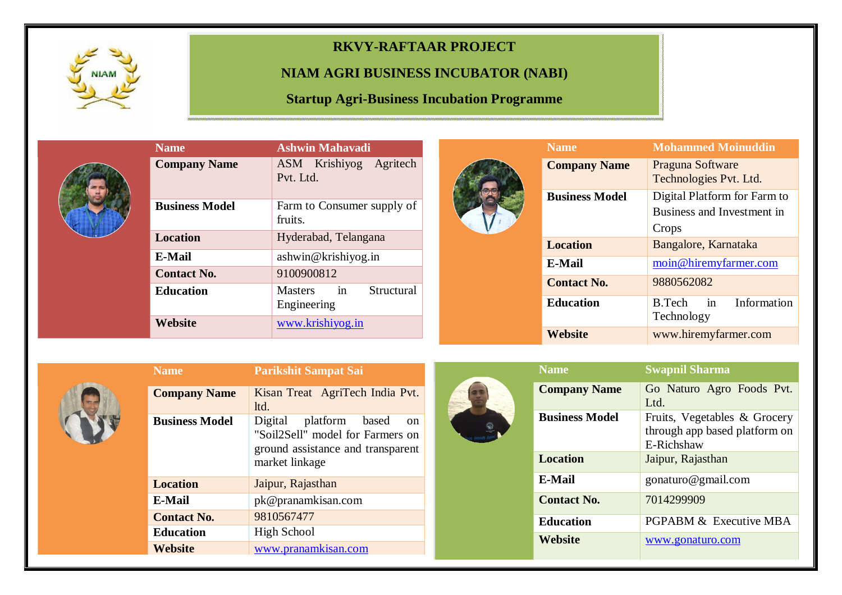

## **RKVY-RAFTAAR PROJECT**

## **NIAM AGRI BUSINESS INCUBATOR (NABI)**

**Startup Agri-Business Incubation Programme** 

| <b>Name</b>           | <b>Ashwin Mahavadi</b>                            |  |  |  |  |  |
|-----------------------|---------------------------------------------------|--|--|--|--|--|
| <b>Company Name</b>   | ASM Krishiyog Agritech<br>Pvt. Ltd.               |  |  |  |  |  |
| <b>Business Model</b> | Farm to Consumer supply of<br>fruits.             |  |  |  |  |  |
| <b>Location</b>       | Hyderabad, Telangana                              |  |  |  |  |  |
| <b>E-Mail</b>         | ashwin@krishiyog.in                               |  |  |  |  |  |
| <b>Contact No.</b>    | 9100900812                                        |  |  |  |  |  |
| <b>Education</b>      | in<br>Structural<br><b>Masters</b><br>Engineering |  |  |  |  |  |
| Website               | www.krishiyog.in                                  |  |  |  |  |  |



| <b>Name</b>           | <b>Mohammed Moinuddin</b>                                           |  |  |
|-----------------------|---------------------------------------------------------------------|--|--|
| <b>Company Name</b>   | Praguna Software<br>Technologies Pvt. Ltd.                          |  |  |
| <b>Business Model</b> | Digital Platform for Farm to<br>Business and Investment in<br>Crops |  |  |
| <b>Location</b>       | Bangalore, Karnataka                                                |  |  |
| <b>E-Mail</b>         | moin@hiremyfarmer.com                                               |  |  |
| <b>Contact No.</b>    | 9880562082                                                          |  |  |
| <b>Education</b>      | in<br>Information<br>B.Tech<br>Technology                           |  |  |
| Website               | www.hiremyfarmer.com                                                |  |  |



| <b>Name</b>           | <b>Parikshit Sampat Sai</b>                                                                                                |  |  |  |  |
|-----------------------|----------------------------------------------------------------------------------------------------------------------------|--|--|--|--|
| <b>Company Name</b>   | Kisan Treat AgriTech India Pvt.<br>ltd.                                                                                    |  |  |  |  |
| <b>Business Model</b> | Digital<br>platform based<br>on<br>"Soil2Sell" model for Farmers on<br>ground assistance and transparent<br>market linkage |  |  |  |  |
| <b>Location</b>       | Jaipur, Rajasthan                                                                                                          |  |  |  |  |
| E-Mail                | pk@pranamkisan.com                                                                                                         |  |  |  |  |
| <b>Contact No.</b>    | 9810567477                                                                                                                 |  |  |  |  |
| <b>Education</b>      | High School                                                                                                                |  |  |  |  |
| <b>Website</b>        | www.pranamkisan.com                                                                                                        |  |  |  |  |



| <b>Name</b>           | <b>Swapnil Sharma</b>                                                       |
|-----------------------|-----------------------------------------------------------------------------|
| <b>Company Name</b>   | Go Naturo Agro Foods Pvt.<br>Ltd.                                           |
| <b>Business Model</b> | Fruits, Vegetables & Grocery<br>through app based platform on<br>E-Richshaw |
| <b>Location</b>       | Jaipur, Rajasthan                                                           |
| E-Mail                | gonaturo@gmail.com                                                          |
| <b>Contact No.</b>    | 7014299909                                                                  |
| <b>Education</b>      | <b>PGPABM &amp; Executive MBA</b>                                           |
| Website               | www.gonaturo.com                                                            |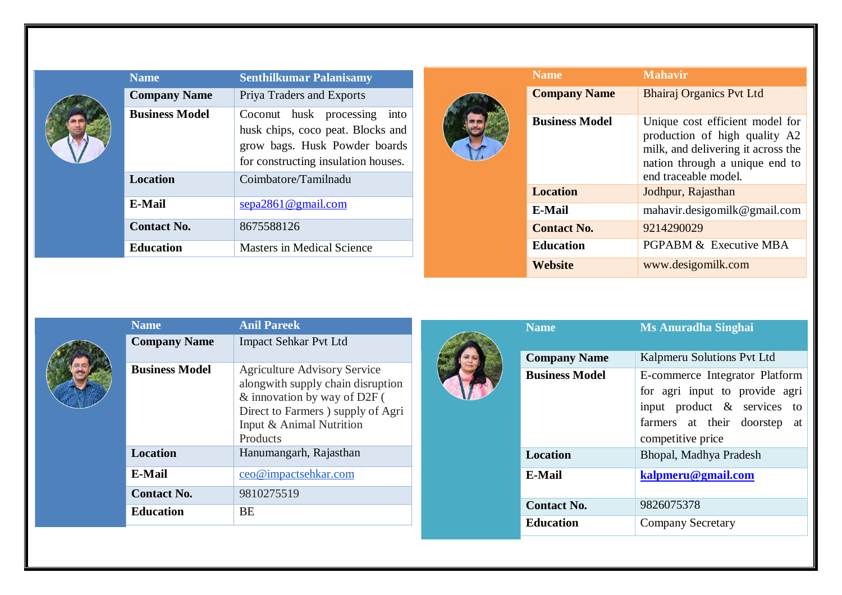| <b>Name</b>                              | <b>Senthilkumar Palanisamy</b>                                                                                                                                    |  | <b>Name</b>           | <b>Mahavir</b>                                                                                                                                                   |
|------------------------------------------|-------------------------------------------------------------------------------------------------------------------------------------------------------------------|--|-----------------------|------------------------------------------------------------------------------------------------------------------------------------------------------------------|
| <b>Company Name</b>                      | Priya Traders and Exports                                                                                                                                         |  | <b>Company Name</b>   | <b>Bhairaj Organics Pvt Ltd</b>                                                                                                                                  |
| <b>Business Model</b><br><b>Location</b> | Coconut husk processing into<br>husk chips, coco peat. Blocks and<br>grow bags. Husk Powder boards<br>for constructing insulation houses.<br>Coimbatore/Tamilnadu |  | <b>Business Model</b> | Unique cost efficient model for<br>production of high quality A2<br>milk, and delivering it across the<br>nation through a unique end to<br>end traceable model. |
|                                          |                                                                                                                                                                   |  | <b>Location</b>       | Jodhpur, Rajasthan                                                                                                                                               |
| <b>E-Mail</b>                            | $\frac{\text{sepa2861}\,\text{Qgmail.com}}{2}$                                                                                                                    |  | E-Mail                | mahavir.desigomilk@gmail.com                                                                                                                                     |
| <b>Contact No.</b>                       | 8675588126                                                                                                                                                        |  | <b>Contact No.</b>    | 9214290029                                                                                                                                                       |
| <b>Education</b>                         | <b>Masters in Medical Science</b>                                                                                                                                 |  | <b>Education</b>      | PGPABM & Executive MBA                                                                                                                                           |
|                                          |                                                                                                                                                                   |  | <b>Website</b>        | www.desigomilk.com                                                                                                                                               |

|  | <b>Name</b>           | <b>Anil Pareek</b>                                                                                                                                                                     | <b>Name</b>           | <b>Ms Anuradha Singhai</b>                                                                                                                              |
|--|-----------------------|----------------------------------------------------------------------------------------------------------------------------------------------------------------------------------------|-----------------------|---------------------------------------------------------------------------------------------------------------------------------------------------------|
|  | <b>Company Name</b>   | <b>Impact Sehkar Pvt Ltd</b>                                                                                                                                                           |                       |                                                                                                                                                         |
|  |                       |                                                                                                                                                                                        | <b>Company Name</b>   | Kalpmeru Solutions Pvt Ltd                                                                                                                              |
|  | <b>Business Model</b> | <b>Agriculture Advisory Service</b><br>alongwith supply chain disruption<br>& innovation by way of D2F (<br>Direct to Farmers ) supply of Agri<br>Input & Animal Nutrition<br>Products | <b>Business Model</b> | E-commerce Integrator Platform<br>for agri input to provide agri<br>input product $\&$ services to<br>farmers at their doorstep at<br>competitive price |
|  | <b>Location</b>       | Hanumangarh, Rajasthan                                                                                                                                                                 | <b>Location</b>       | Bhopal, Madhya Pradesh                                                                                                                                  |
|  | <b>E-Mail</b>         | ceo@impactsehkar.com                                                                                                                                                                   | <b>E-Mail</b>         | kalpmeru@gmail.com                                                                                                                                      |
|  | <b>Contact No.</b>    | 9810275519                                                                                                                                                                             | <b>Contact No.</b>    | 9826075378                                                                                                                                              |
|  | <b>Education</b>      | <b>BE</b>                                                                                                                                                                              |                       |                                                                                                                                                         |
|  |                       |                                                                                                                                                                                        | <b>Education</b>      | <b>Company Secretary</b>                                                                                                                                |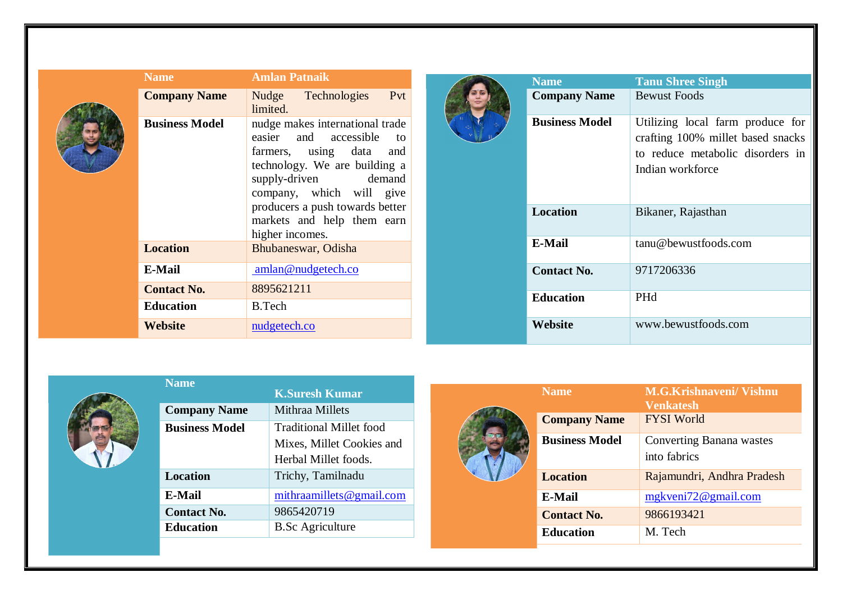| <b>Name</b>           | <b>Amlan Patnaik</b>                                                                                                                                                                 | <b>Name</b>        |                       | <b>Tanu Shree Singh</b>                                                                                                       |
|-----------------------|--------------------------------------------------------------------------------------------------------------------------------------------------------------------------------------|--------------------|-----------------------|-------------------------------------------------------------------------------------------------------------------------------|
| <b>Company Name</b>   | Pvt<br>Technologies<br>Nudge<br>limited.                                                                                                                                             |                    | <b>Company Name</b>   | <b>Bewust Foods</b>                                                                                                           |
| <b>Business Model</b> | nudge makes international trade<br>easier and accessible<br>to<br>farmers, using data<br>and<br>technology. We are building a<br>supply-driven<br>demand<br>company, which will give |                    | <b>Business Model</b> | Utilizing local farm produce for<br>crafting 100% millet based snacks<br>to reduce metabolic disorders in<br>Indian workforce |
|                       | producers a push towards better<br>markets and help them earn<br>higher incomes.                                                                                                     | <b>Location</b>    |                       | Bikaner, Rajasthan                                                                                                            |
| <b>Location</b>       | Bhubaneswar, Odisha                                                                                                                                                                  | <b>E-Mail</b>      |                       | tanu@bewustfoods.com                                                                                                          |
| E-Mail                | amlan@nudgetech.co                                                                                                                                                                   | <b>Contact No.</b> |                       | 9717206336                                                                                                                    |
| <b>Contact No.</b>    | 8895621211                                                                                                                                                                           | <b>Education</b>   |                       | PHd                                                                                                                           |
| <b>Education</b>      | B.Tech                                                                                                                                                                               |                    |                       |                                                                                                                               |
| <b>Website</b>        | nudgetech.co                                                                                                                                                                         | Website            |                       |                                                                                                                               |



| <b>Name</b>           |                           |
|-----------------------|---------------------------|
|                       | <b>K.Suresh Kumar</b>     |
| <b>Company Name</b>   | Mithraa Millets           |
| <b>Business Model</b> | Traditional Millet food   |
|                       | Mixes, Millet Cookies and |
|                       | Herbal Millet foods.      |
| Location              | Trichy, Tamilnadu         |
| E-Mail                | mithraamillets@gmail.com  |
| <b>Contact No.</b>    | 9865420719                |
| <b>Education</b>      | <b>B.Sc Agriculture</b>   |
|                       |                           |

|  | <b>Name</b>           | <b>M.G.Krishnaveni/ Vishnu</b><br><b>Venkatesh</b> |
|--|-----------------------|----------------------------------------------------|
|  | <b>Company Name</b>   | <b>FYSI World</b>                                  |
|  | <b>Business Model</b> | <b>Converting Banana wastes</b><br>into fabrics    |
|  | <b>Location</b>       | Rajamundri, Andhra Pradesh                         |
|  | E-Mail                | mgkveni72@gmail.com                                |
|  | <b>Contact No.</b>    | 9866193421                                         |
|  | <b>Education</b>      | M. Tech                                            |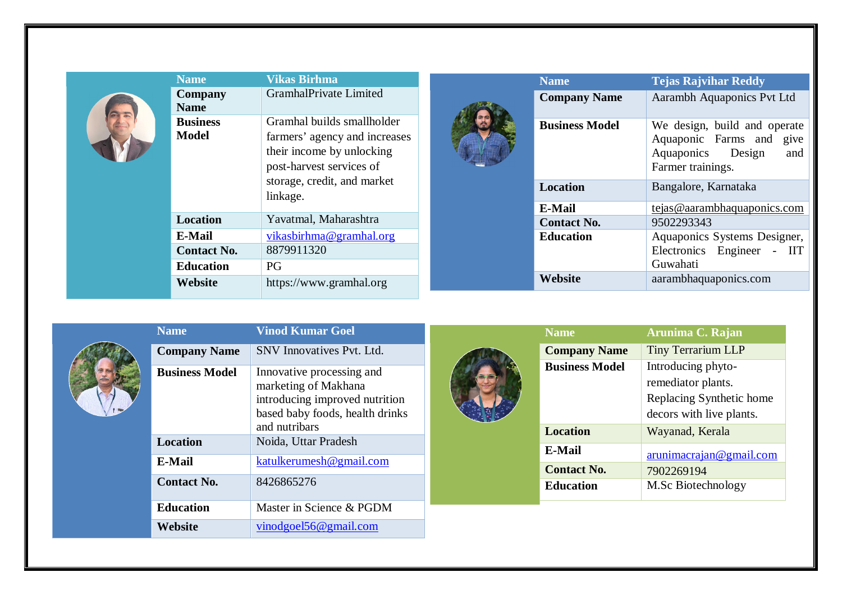| <b>Name</b>                     | <b>Vikas Birhma</b>                                                                                                  |  | <b>Name</b>           | <b>Tejas Rajvihar Reddy</b>                                                                                     |                     |                            |
|---------------------------------|----------------------------------------------------------------------------------------------------------------------|--|-----------------------|-----------------------------------------------------------------------------------------------------------------|---------------------|----------------------------|
| Company<br><b>Name</b>          | GramhalPrivate Limited                                                                                               |  |                       |                                                                                                                 | <b>Company Name</b> | Aarambh Aquaponics Pvt Ltd |
| <b>Business</b><br><b>Model</b> | Gramhal builds smallholder<br>farmers' agency and increases<br>their income by unlocking<br>post-harvest services of |  | <b>Business Model</b> | We design, build and operate<br>Aquaponic Farms and<br>give<br>Design<br>and<br>Aquaponics<br>Farmer trainings. |                     |                            |
|                                 | storage, credit, and market<br>linkage.                                                                              |  | Location              | Bangalore, Karnataka                                                                                            |                     |                            |
|                                 |                                                                                                                      |  | E-Mail                | tejas@aarambhaquaponics.com                                                                                     |                     |                            |
| <b>Location</b>                 | Yavatmal, Maharashtra                                                                                                |  | <b>Contact No.</b>    | 9502293343                                                                                                      |                     |                            |
| E-Mail                          | vikasbirhma@gramhal.org                                                                                              |  | <b>Education</b>      | Aquaponics Systems Designer,                                                                                    |                     |                            |
| <b>Contact No.</b>              | 8879911320                                                                                                           |  |                       | Electronics Engineer - IIT                                                                                      |                     |                            |
| <b>Education</b>                | PG                                                                                                                   |  |                       | Guwahati                                                                                                        |                     |                            |
| Website                         | https://www.gramhal.org                                                                                              |  | Website               | aarambhaquaponics.com                                                                                           |                     |                            |

| iname                 | унюа кишаг чоег                                                                                                                         |
|-----------------------|-----------------------------------------------------------------------------------------------------------------------------------------|
| <b>Company Name</b>   | SNV Innovatives Pvt. Ltd.                                                                                                               |
| <b>Business Model</b> | Innovative processing and<br>marketing of Makhana<br>introducing improved nutrition<br>based baby foods, health drinks<br>and nutribars |
| Location              | Noida, Uttar Pradesh                                                                                                                    |
| <b>E-Mail</b>         | katulkerumesh@gmail.com                                                                                                                 |
| <b>Contact No.</b>    | 8426865276                                                                                                                              |
| <b>Education</b>      | Master in Science & PGDM                                                                                                                |
| Website               | vinodgoel56@gmail.com                                                                                                                   |

**Name Vinod Kumar Goel**



| <b>Name</b>           | Arunima C. Rajan          |
|-----------------------|---------------------------|
| <b>Company Name</b>   | <b>Tiny Terrarium LLP</b> |
| <b>Business Model</b> | Introducing phyto-        |
|                       | remediator plants.        |
|                       | Replacing Synthetic home  |
|                       | decors with live plants.  |
| <b>Location</b>       | Wayanad, Kerala           |
| <b>E-Mail</b>         | arunimacrajan@gmail.com   |
| <b>Contact No.</b>    | 7902269194                |
| <b>Education</b>      | M.Sc Biotechnology        |